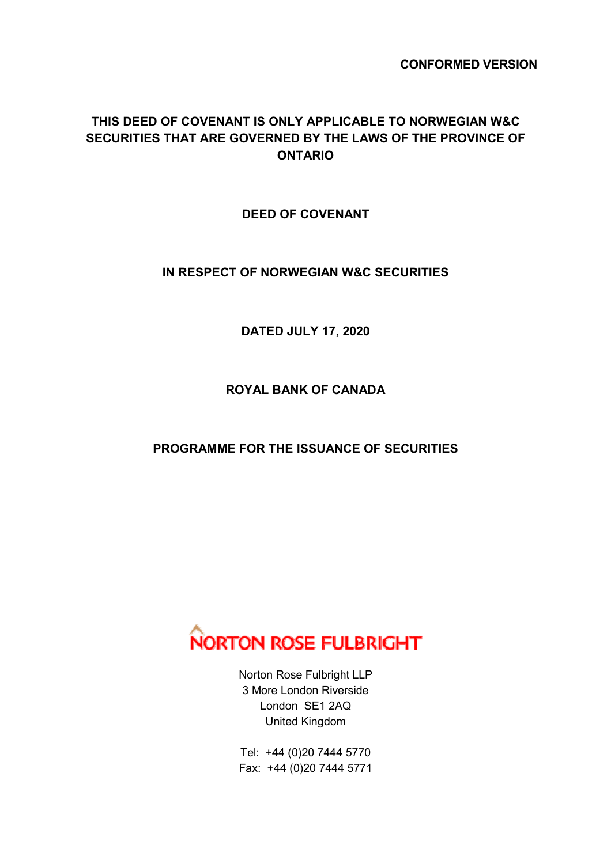**CONFORMED VERSION** 

## **THIS DEED OF COVENANT IS ONLY APPLICABLE TO NORWEGIAN W&C SECURITIES THAT ARE GOVERNED BY THE LAWS OF THE PROVINCE OF ONTARIO**

**DEED OF COVENANT** 

**IN RESPECT OF NORWEGIAN W&C SECURITIES** 

**DATED JULY 17, 2020** 

**ROYAL BANK OF CANADA** 

**PROGRAMME FOR THE ISSUANCE OF SECURITIES** 



Norton Rose Fulbright LLP 3 More London Riverside London SE1 2AQ United Kingdom

Tel: +44 (0)20 7444 5770 Fax: +44 (0)20 7444 5771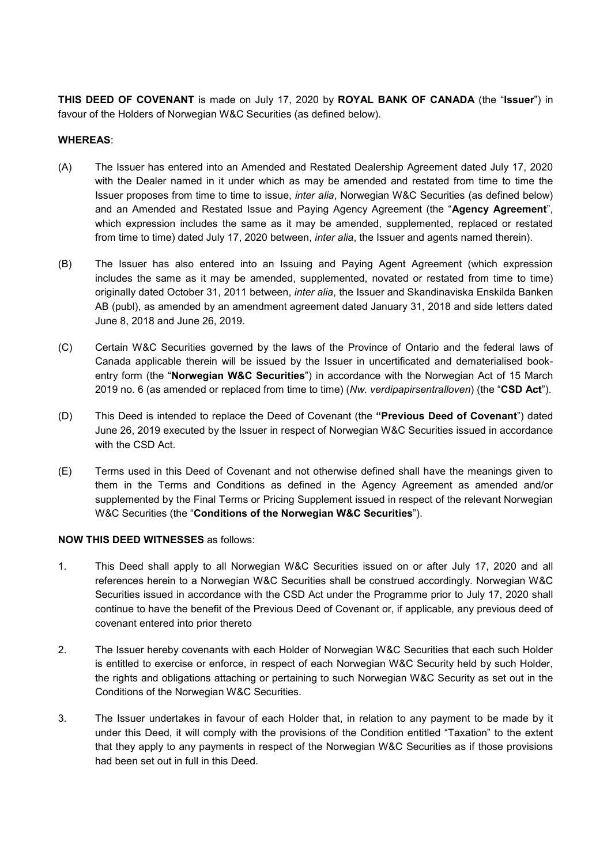**THIS DEED OF COVENANT** is made on July 17, 2020 by **ROYAL BANK OF CANADA** (the "**Issuer**") in favour of the Holders of Norwegian W&C Securities (as defined below).

## **WHEREAS**:

- (A) The Issuer has entered into an Amended and Restated Dealership Agreement dated July 17, 2020 with the Dealer named in it under which as may be amended and restated from time to time the Issuer proposes from time to time to issue, *inter alia*, Norwegian W&C Securities (as defined below) and an Amended and Restated Issue and Paying Agency Agreement (the "**Agency Agreement**", which expression includes the same as it may be amended, supplemented, replaced or restated from time to time) dated July 17, 2020 between, *inter alia*, the Issuer and agents named therein).
- (B) The Issuer has also entered into an Issuing and Paying Agent Agreement (which expression includes the same as it may be amended, supplemented, novated or restated from time to time) originally dated October 31, 2011 between, *inter alia*, the Issuer and Skandinaviska Enskilda Banken AB (publ), as amended by an amendment agreement dated January 31, 2018 and side letters dated June 8, 2018 and June 26, 2019.
- (C) Certain W&C Securities governed by the laws of the Province of Ontario and the federal laws of Canada applicable therein will be issued by the Issuer in uncertificated and dematerialised bookentry form (the "**Norwegian W&C Securities**") in accordance with the Norwegian Act of 15 March 2019 no. 6 (as amended or replaced from time to time) (*Nw. verdipapirsentralloven*) (the "**CSD Act**").
- (D) This Deed is intended to replace the Deed of Covenant (the **"Previous Deed of Covenant**") dated June 26, 2019 executed by the Issuer in respect of Norwegian W&C Securities issued in accordance with the CSD Act.
- (E) Terms used in this Deed of Covenant and not otherwise defined shall have the meanings given to them in the Terms and Conditions as defined in the Agency Agreement as amended and/or supplemented by the Final Terms or Pricing Supplement issued in respect of the relevant Norwegian W&C Securities (the "**Conditions of the Norwegian W&C Securities**").

## **NOW THIS DEED WITNESSES** as follows:

- 1. This Deed shall apply to all Norwegian W&C Securities issued on or after July 17, 2020 and all references herein to a Norwegian W&C Securities shall be construed accordingly. Norwegian W&C Securities issued in accordance with the CSD Act under the Programme prior to July 17, 2020 shall continue to have the benefit of the Previous Deed of Covenant or, if applicable, any previous deed of covenant entered into prior thereto
- 2. The Issuer hereby covenants with each Holder of Norwegian W&C Securities that each such Holder is entitled to exercise or enforce, in respect of each Norwegian W&C Security held by such Holder, the rights and obligations attaching or pertaining to such Norwegian W&C Security as set out in the Conditions of the Norwegian W&C Securities.
- 3. The Issuer undertakes in favour of each Holder that, in relation to any payment to be made by it under this Deed, it will comply with the provisions of the Condition entitled "Taxation" to the extent that they apply to any payments in respect of the Norwegian W&C Securities as if those provisions had been set out in full in this Deed.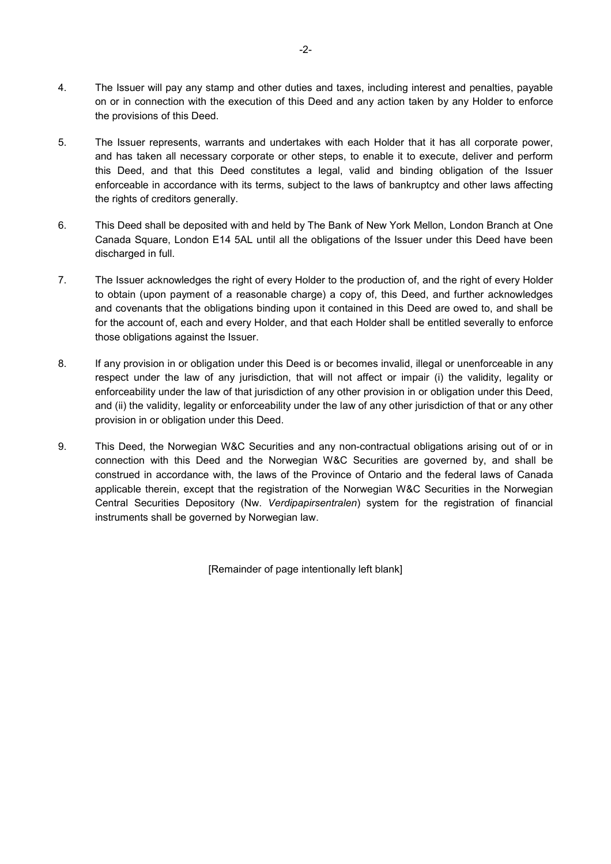- 4. The Issuer will pay any stamp and other duties and taxes, including interest and penalties, payable on or in connection with the execution of this Deed and any action taken by any Holder to enforce the provisions of this Deed.
- 5. The Issuer represents, warrants and undertakes with each Holder that it has all corporate power, and has taken all necessary corporate or other steps, to enable it to execute, deliver and perform this Deed, and that this Deed constitutes a legal, valid and binding obligation of the Issuer enforceable in accordance with its terms, subject to the laws of bankruptcy and other laws affecting the rights of creditors generally.
- 6. This Deed shall be deposited with and held by The Bank of New York Mellon, London Branch at One Canada Square, London E14 5AL until all the obligations of the Issuer under this Deed have been discharged in full.
- 7. The Issuer acknowledges the right of every Holder to the production of, and the right of every Holder to obtain (upon payment of a reasonable charge) a copy of, this Deed, and further acknowledges and covenants that the obligations binding upon it contained in this Deed are owed to, and shall be for the account of, each and every Holder, and that each Holder shall be entitled severally to enforce those obligations against the Issuer.
- 8. If any provision in or obligation under this Deed is or becomes invalid, illegal or unenforceable in any respect under the law of any jurisdiction, that will not affect or impair (i) the validity, legality or enforceability under the law of that jurisdiction of any other provision in or obligation under this Deed, and (ii) the validity, legality or enforceability under the law of any other jurisdiction of that or any other provision in or obligation under this Deed.
- 9. This Deed, the Norwegian W&C Securities and any non-contractual obligations arising out of or in connection with this Deed and the Norwegian W&C Securities are governed by, and shall be construed in accordance with, the laws of the Province of Ontario and the federal laws of Canada applicable therein, except that the registration of the Norwegian W&C Securities in the Norwegian Central Securities Depository (Nw. *Verdipapirsentralen*) system for the registration of financial instruments shall be governed by Norwegian law.

[Remainder of page intentionally left blank]